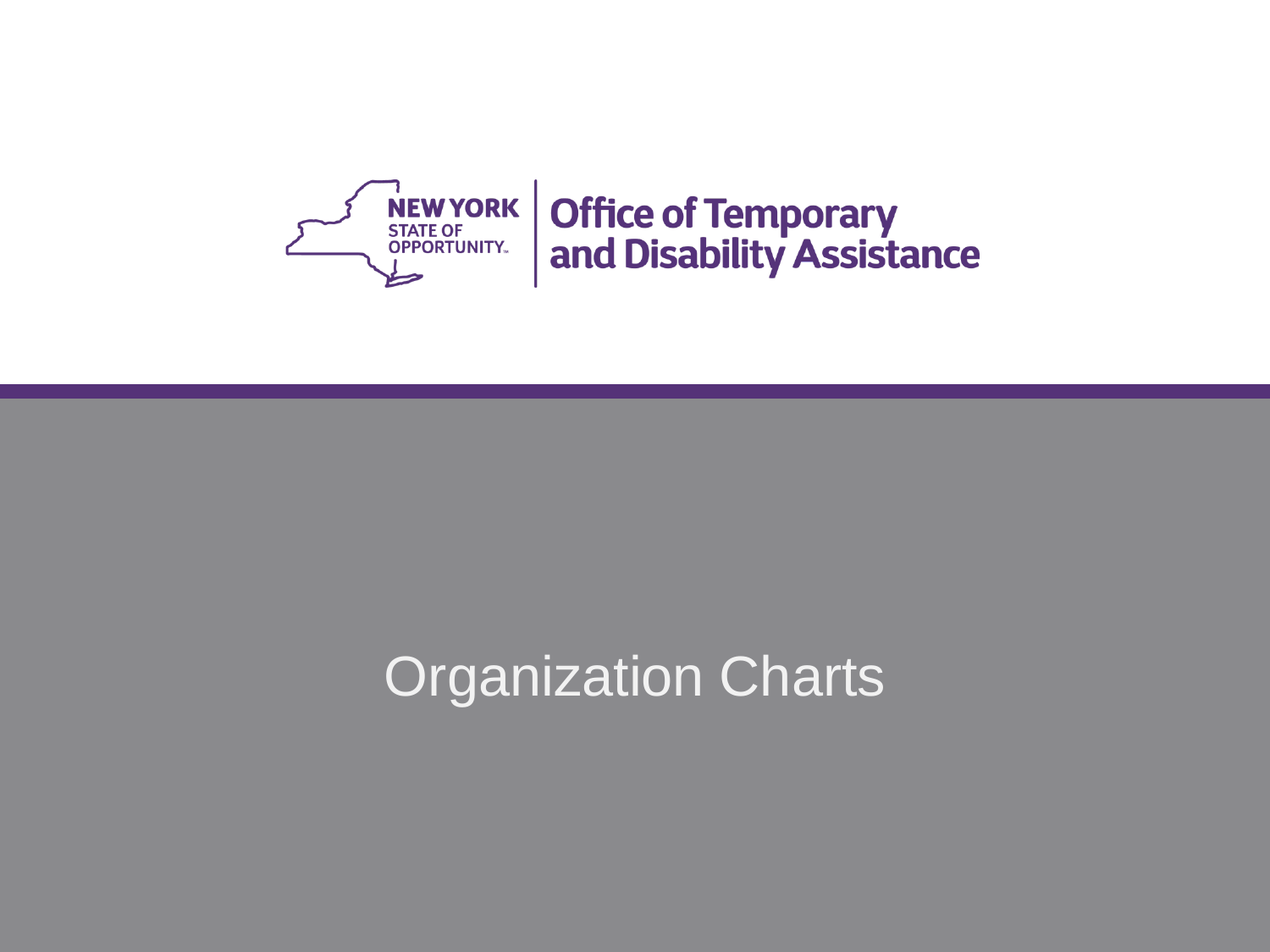

# Organization Charts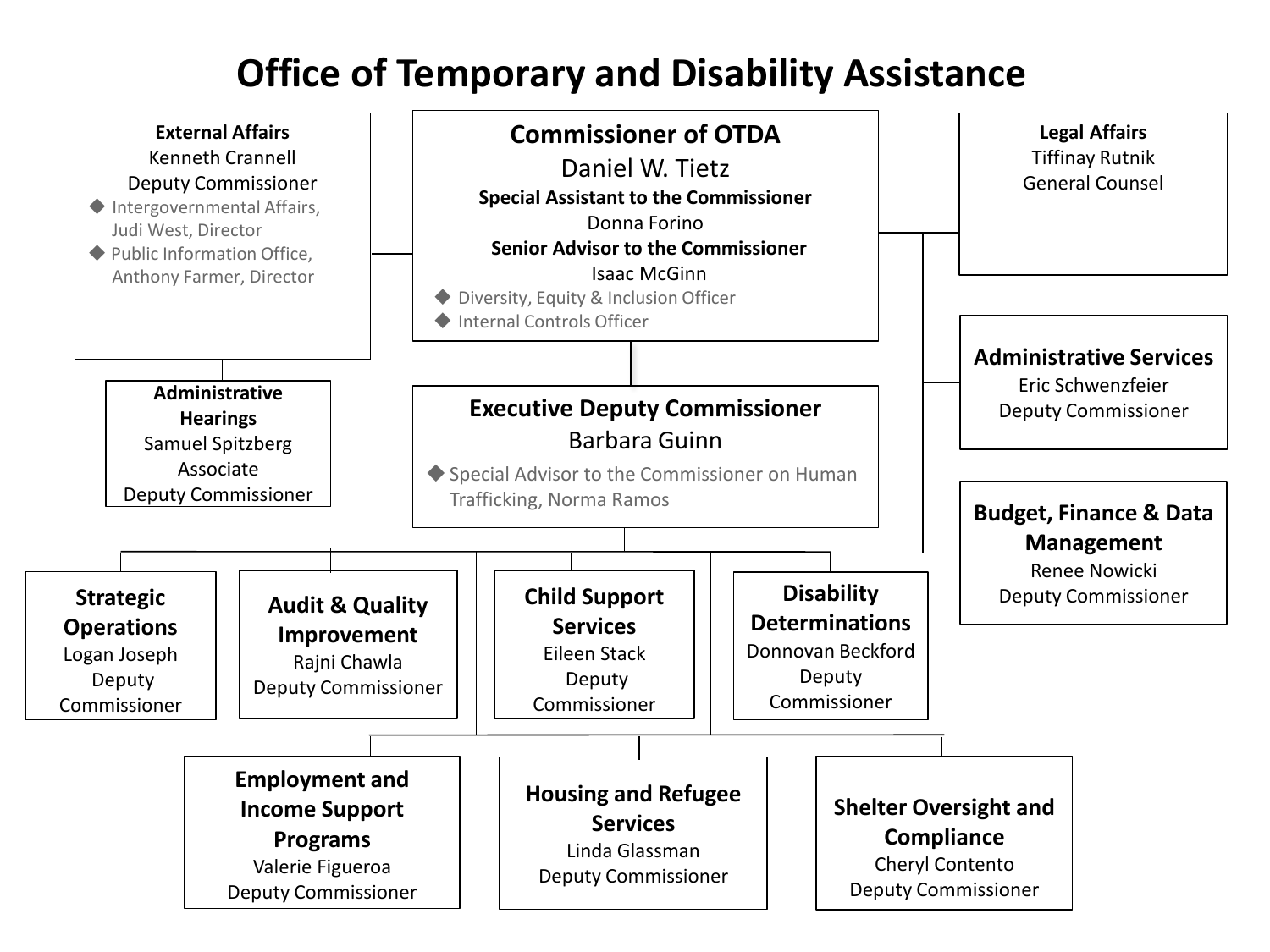# **Office of Temporary and Disability Assistance**

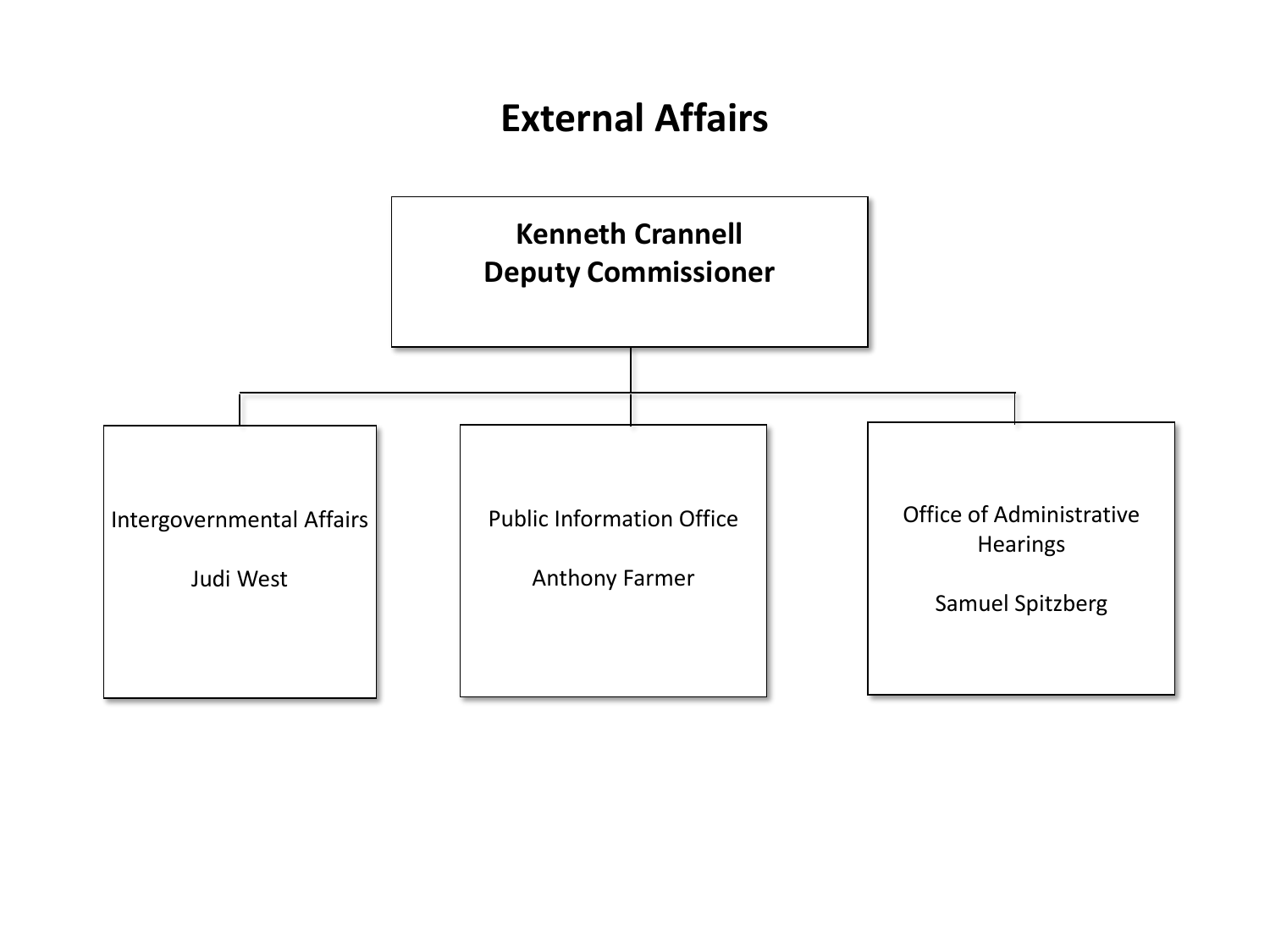# **External Affairs**

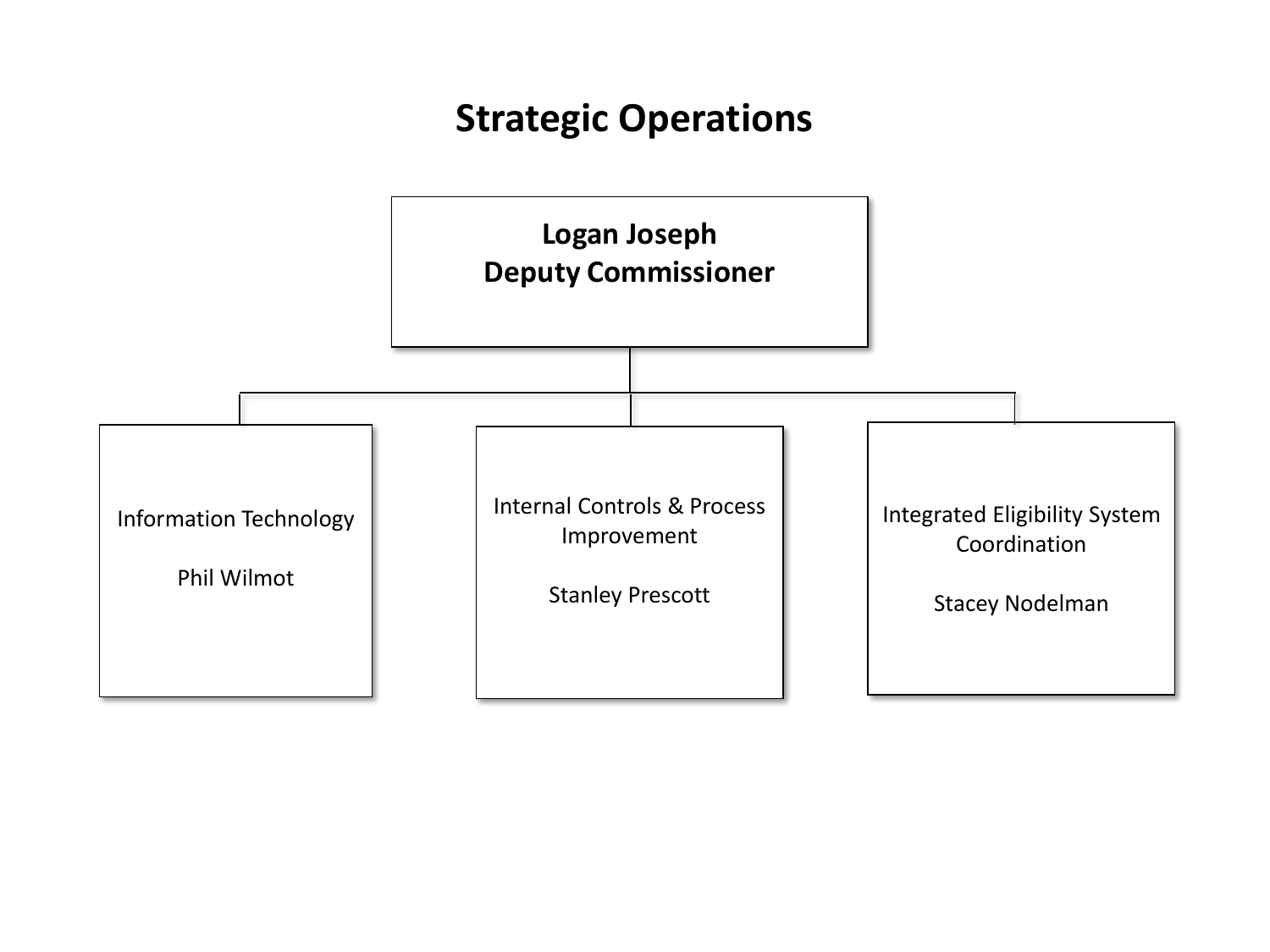# **Strategic Operations**

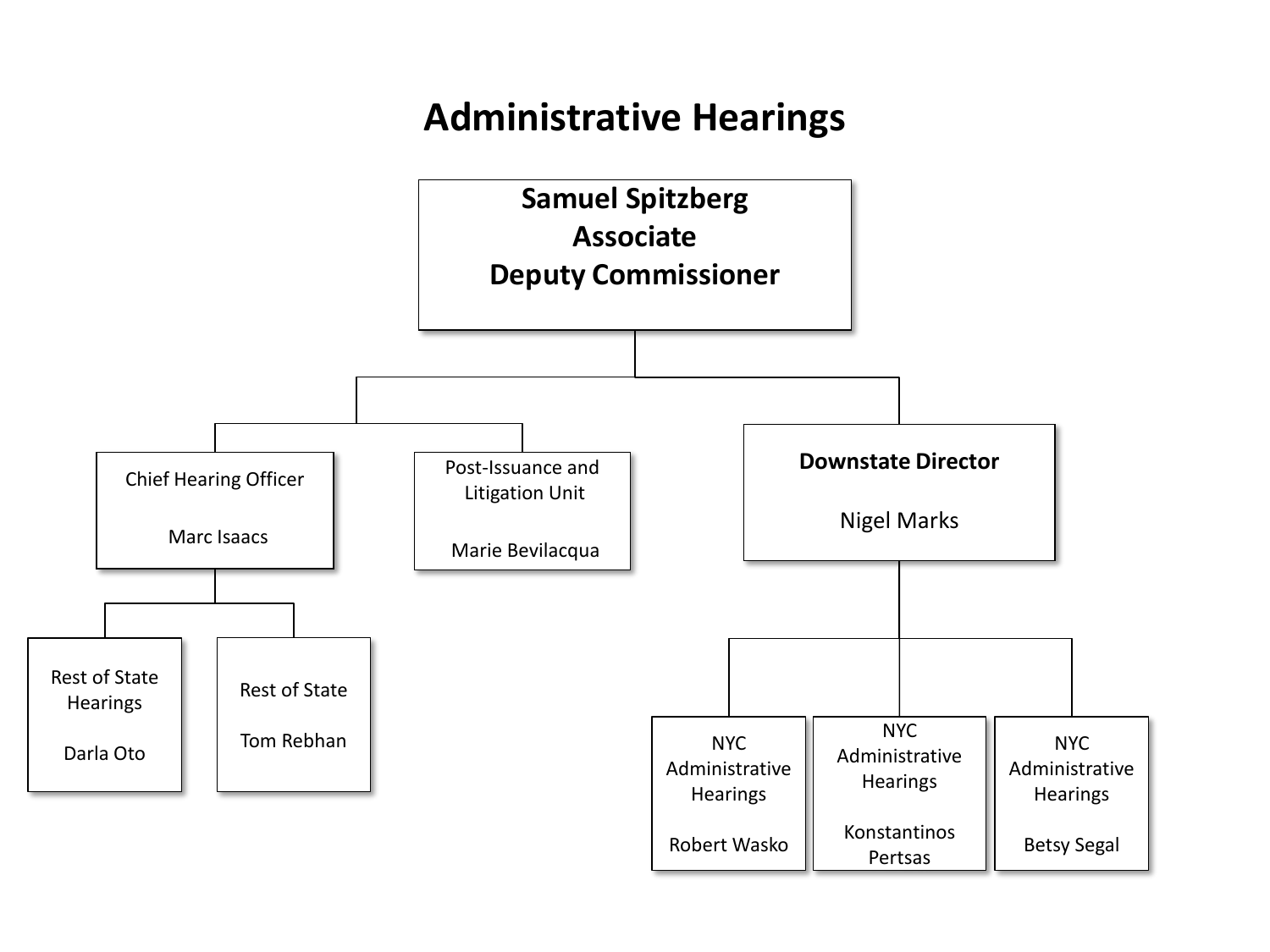# **Administrative Hearings**

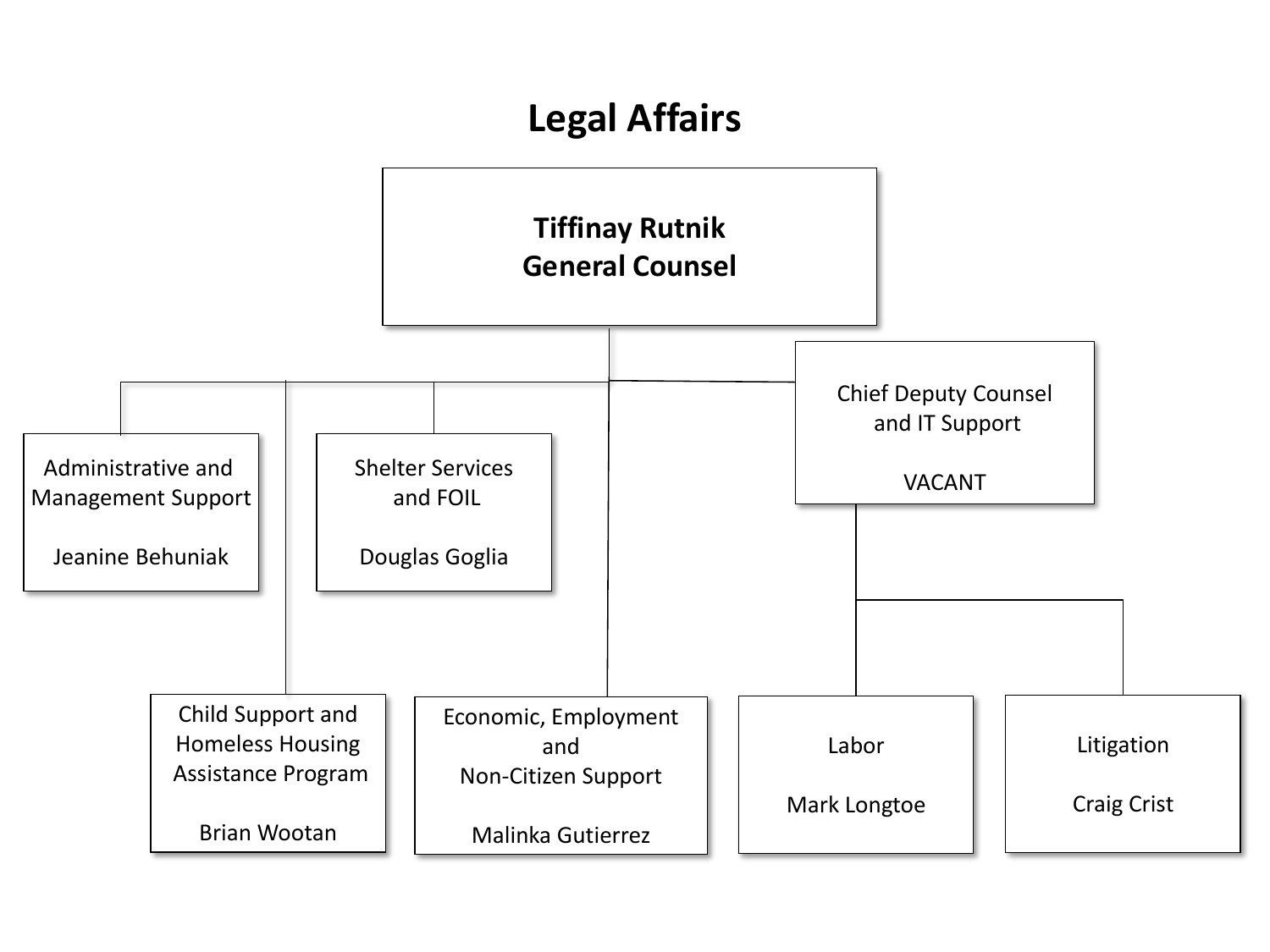# **Legal Affairs**

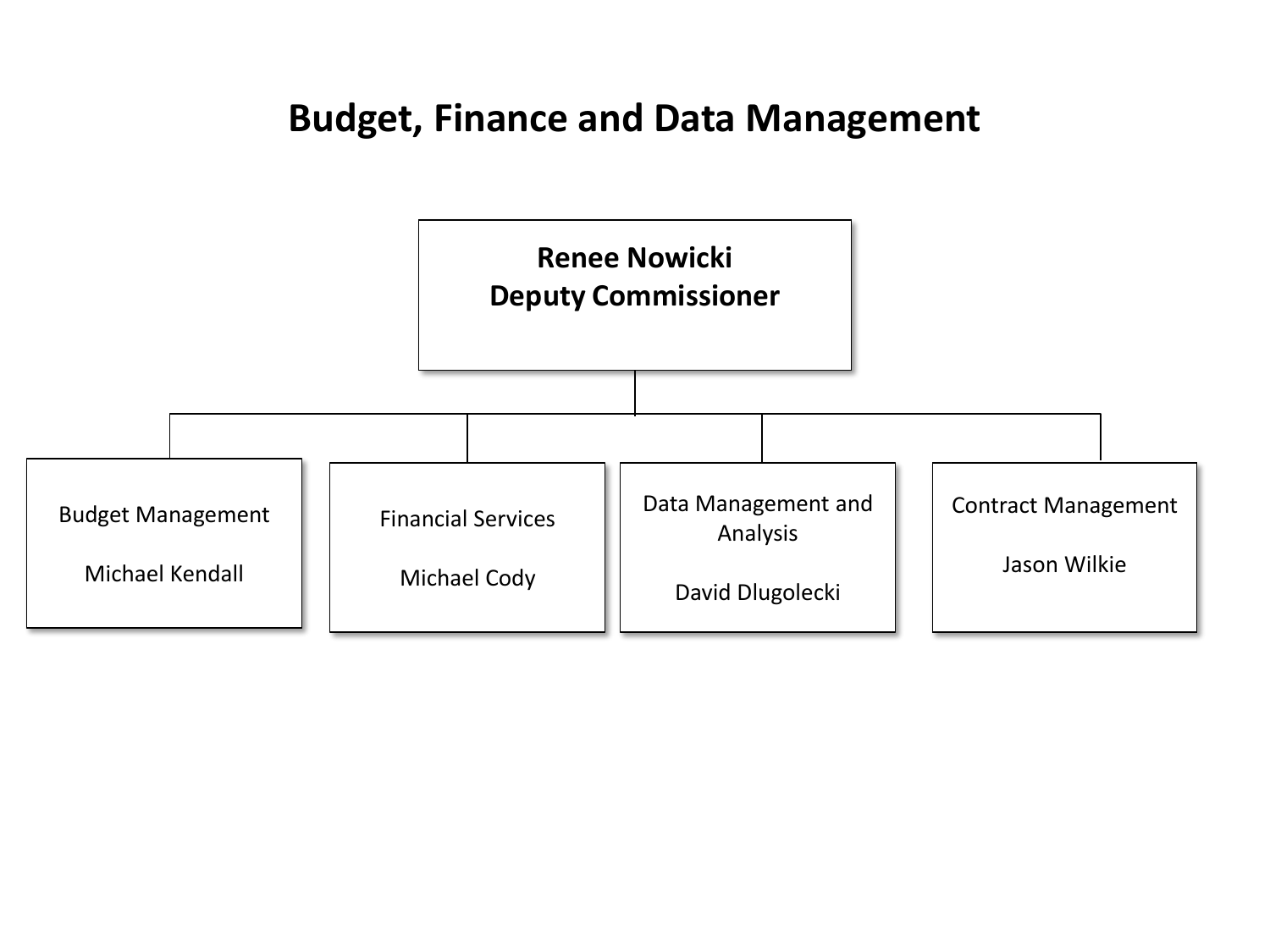#### **Budget, Finance and Data Management**

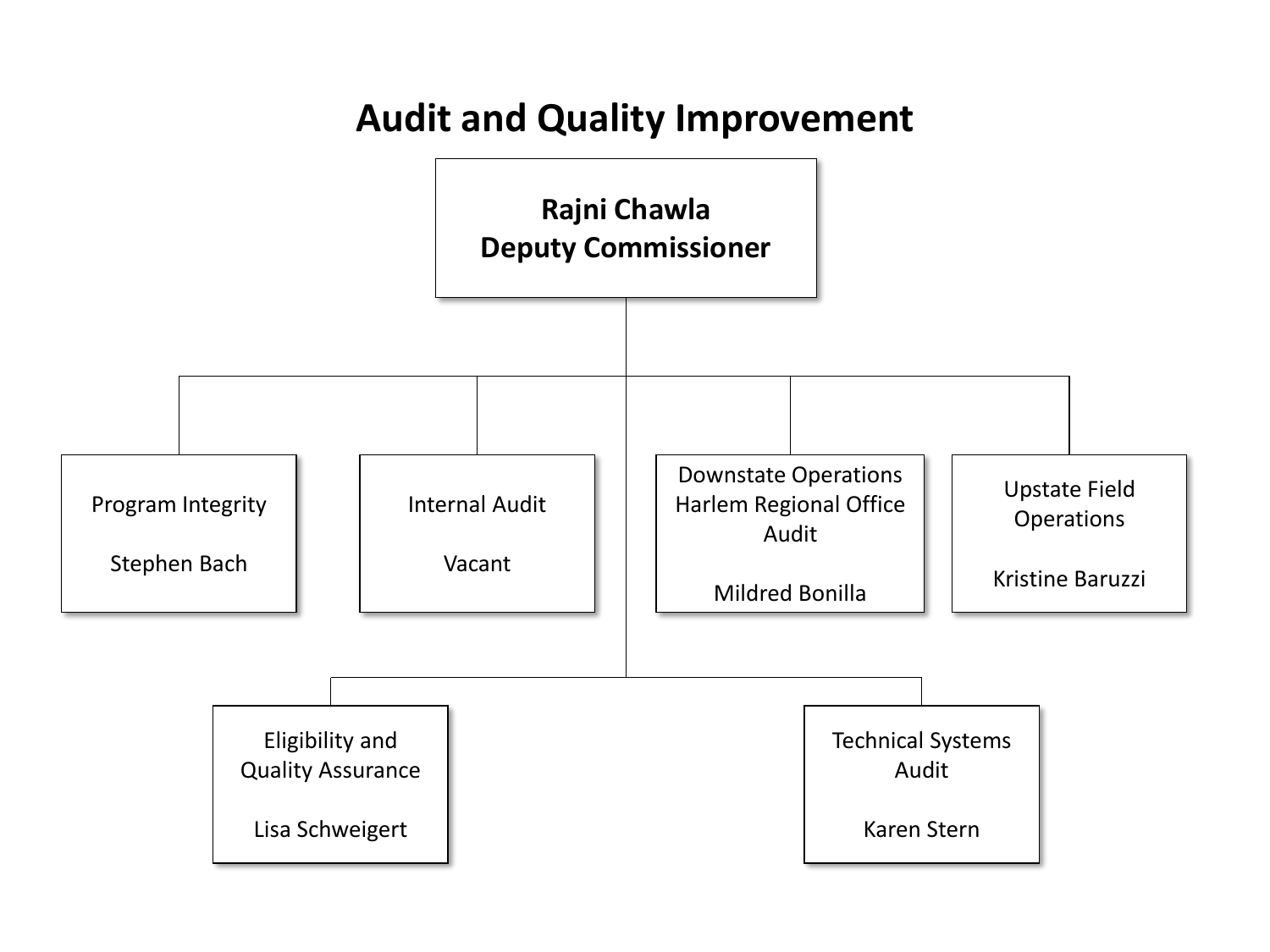### **Audit and Quality Improvement**

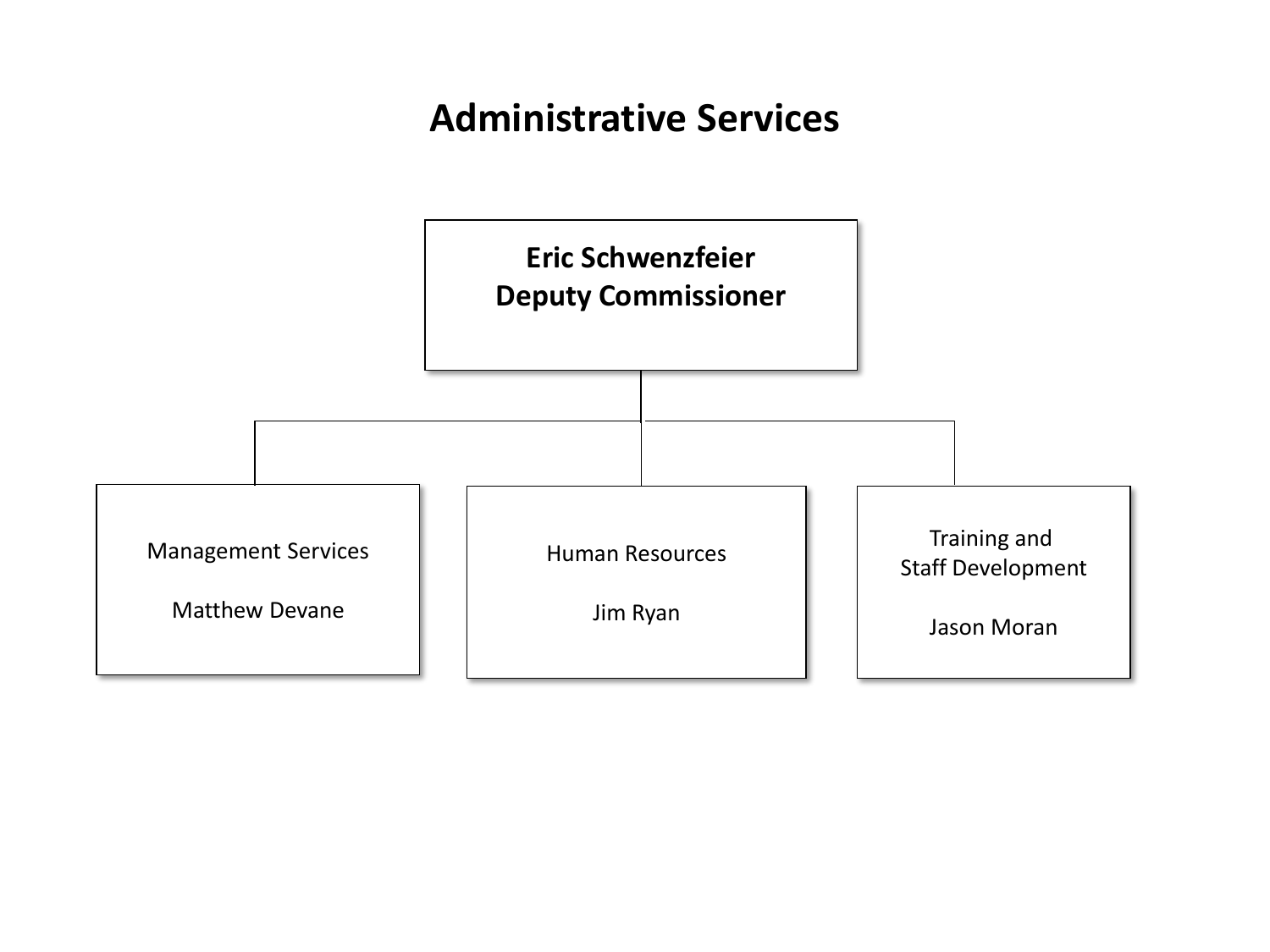# **Administrative Services**

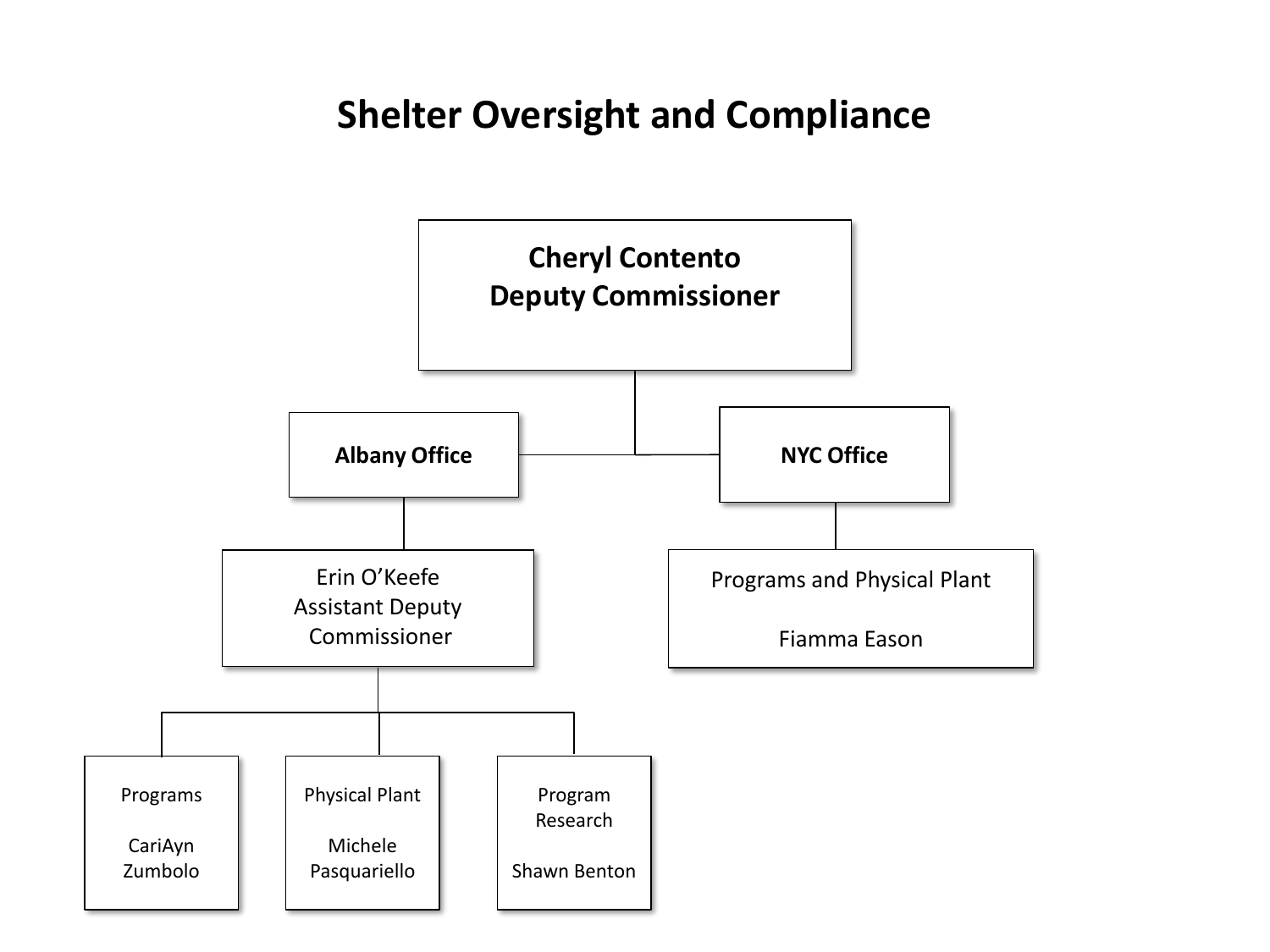#### **Shelter Oversight and Compliance**

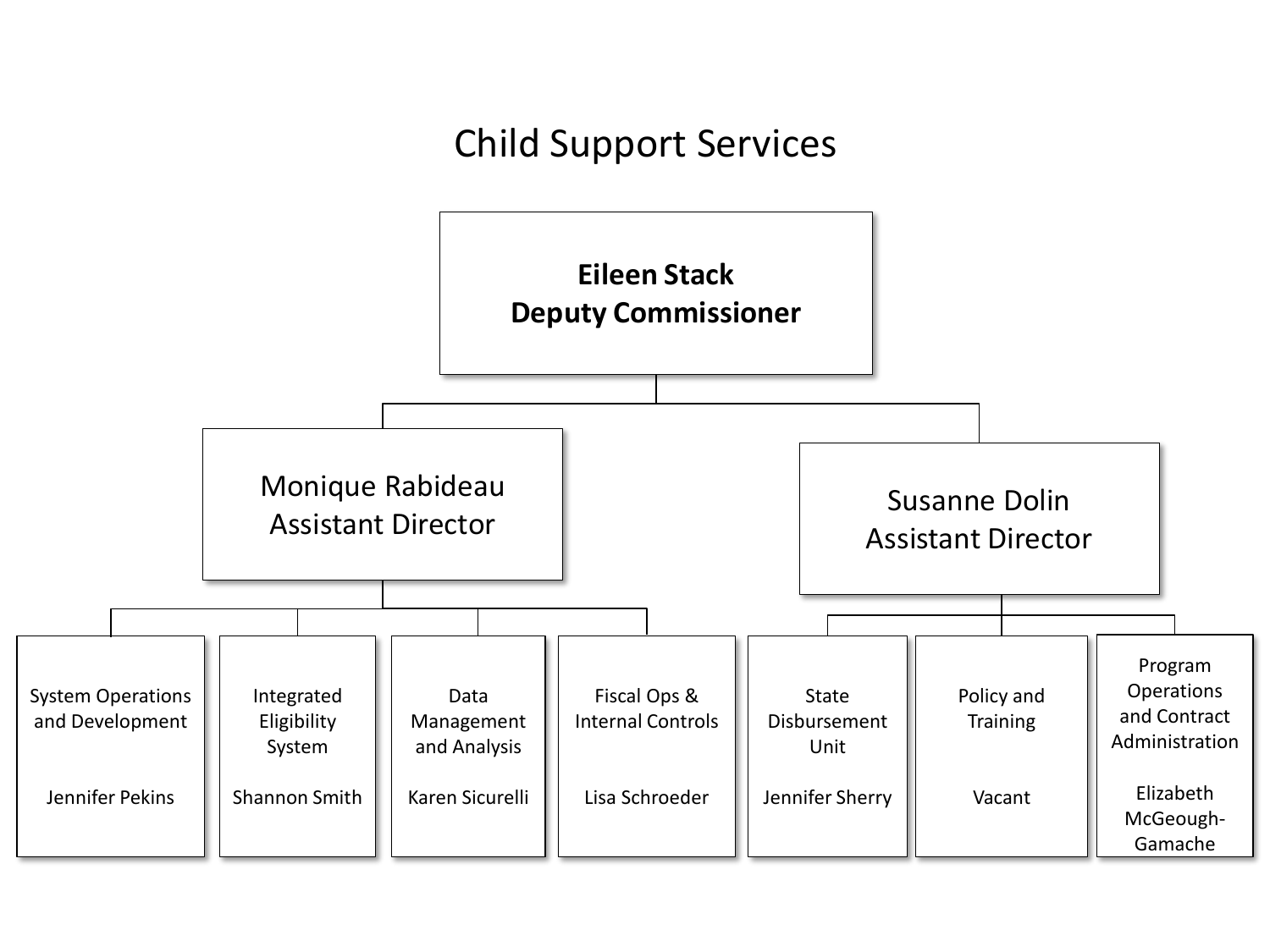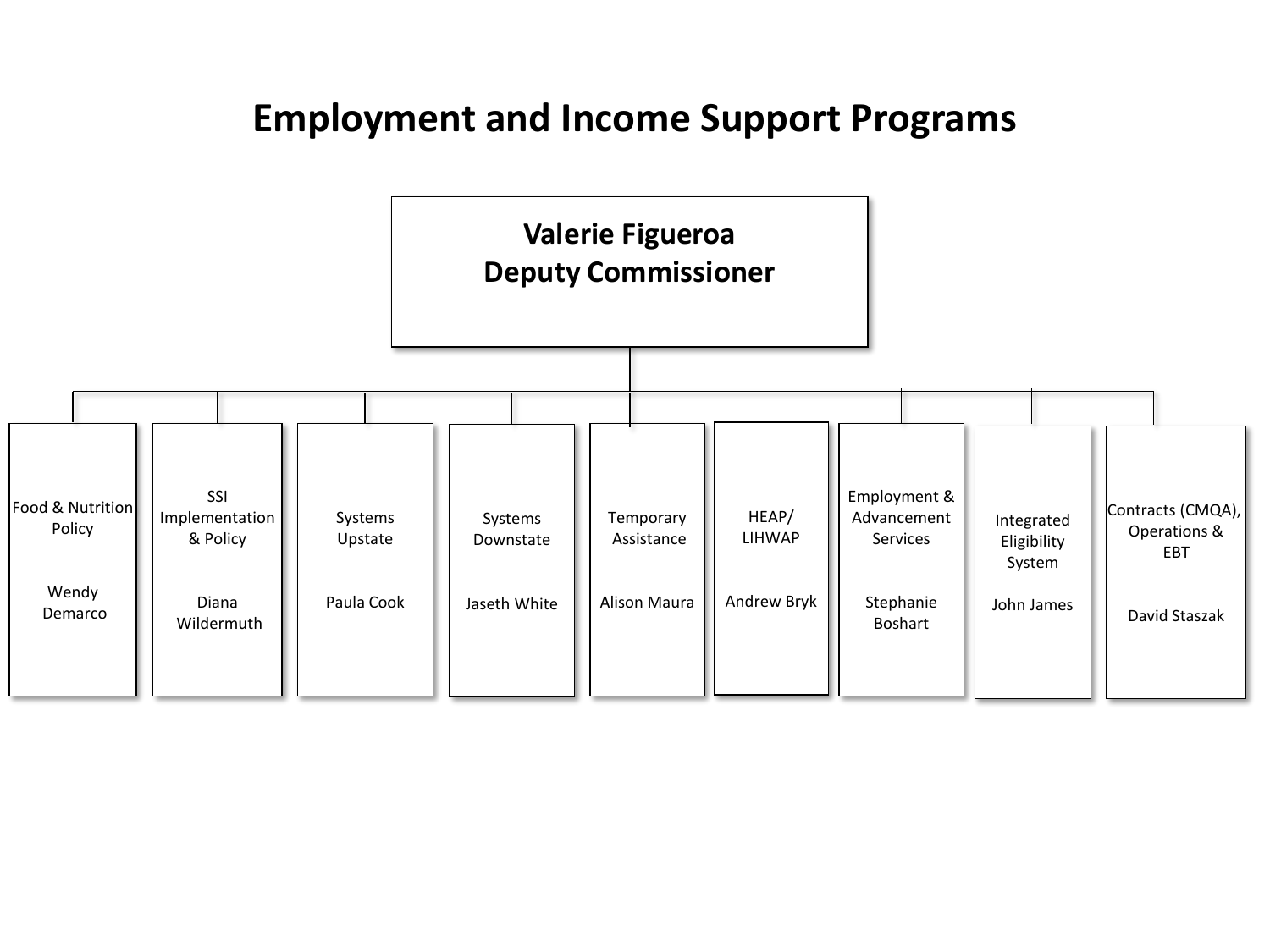#### **Employment and Income Support Programs**

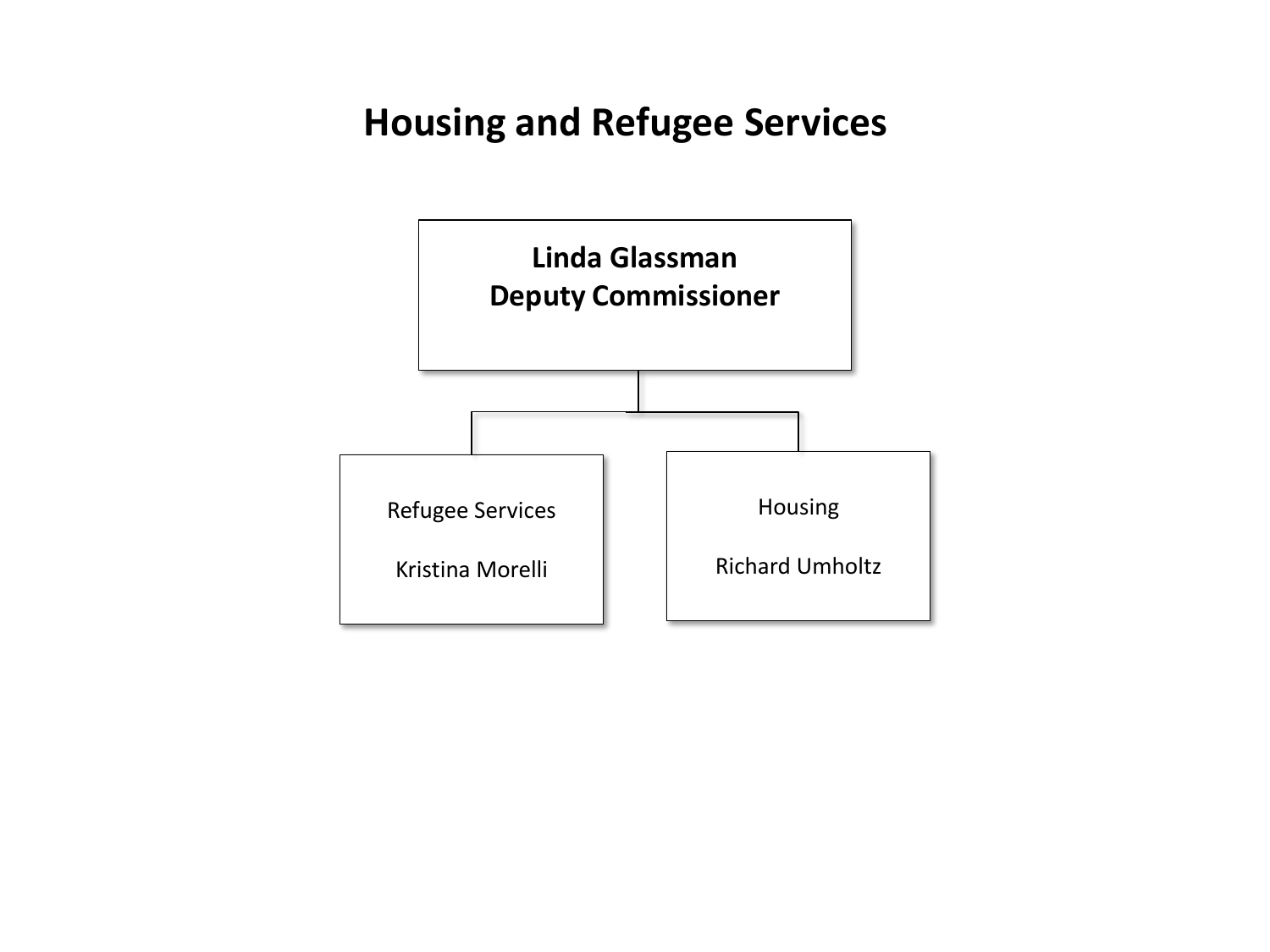# **Housing and Refugee Services**